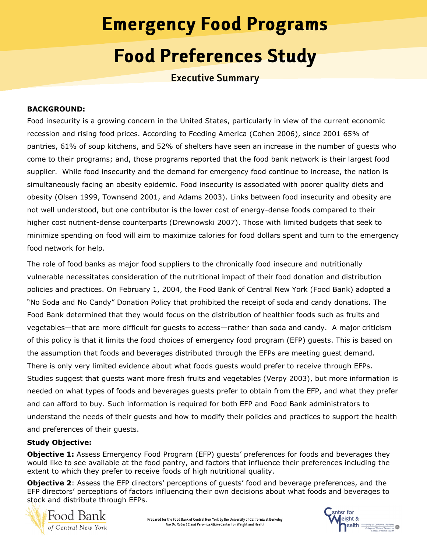# **Emergency Food Programs Food Preferences Study**

**Executive Summary** 

## **BACKGROUND:**

Food insecurity is a growing concern in the United States, particularly in view of the current economic recession and rising food prices. According to Feeding America (Cohen 2006), since 2001 65% of pantries, 61% of soup kitchens, and 52% of shelters have seen an increase in the number of guests who come to their programs; and, those programs reported that the food bank network is their largest food supplier. While food insecurity and the demand for emergency food continue to increase, the nation is simultaneously facing an obesity epidemic. Food insecurity is associated with poorer quality diets and obesity (Olsen 1999, Townsend 2001, and Adams 2003). Links between food insecurity and obesity are not well understood, but one contributor is the lower cost of energy-dense foods compared to their higher cost nutrient-dense counterparts (Drewnowski 2007). Those with limited budgets that seek to minimize spending on food will aim to maximize calories for food dollars spent and turn to the emergency food network for help.

The role of food banks as major food suppliers to the chronically food insecure and nutritionally vulnerable necessitates consideration of the nutritional impact of their food donation and distribution policies and practices. On February 1, 2004, the Food Bank of Central New York (Food Bank) adopted a "No Soda and No Candy" Donation Policy that prohibited the receipt of soda and candy donations. The Food Bank determined that they would focus on the distribution of healthier foods such as fruits and vegetables—that are more difficult for guests to access—rather than soda and candy. A major criticism of this policy is that it limits the food choices of emergency food program (EFP) guests. This is based on the assumption that foods and beverages distributed through the EFPs are meeting guest demand. There is only very limited evidence about what foods guests would prefer to receive through EFPs. Studies suggest that guests want more fresh fruits and vegetables (Verpy 2003), but more information is needed on what types of foods and beverages guests prefer to obtain from the EFP, and what they prefer and can afford to buy. Such information is required for both EFP and Food Bank administrators to understand the needs of their guests and how to modify their policies and practices to support the health and preferences of their guests.

## **Study Objective:**

**Objective 1:** Assess Emergency Food Program (EFP) guests' preferences for foods and beverages they would like to see available at the food pantry, and factors that influence their preferences including the extent to which they prefer to receive foods of high nutritional quality.

**Objective 2**: Assess the EFP directors' perceptions of guests' food and beverage preferences, and the EFP directors' perceptions of factors influencing their own decisions about what foods and beverages to stock and distribute through EFPs.

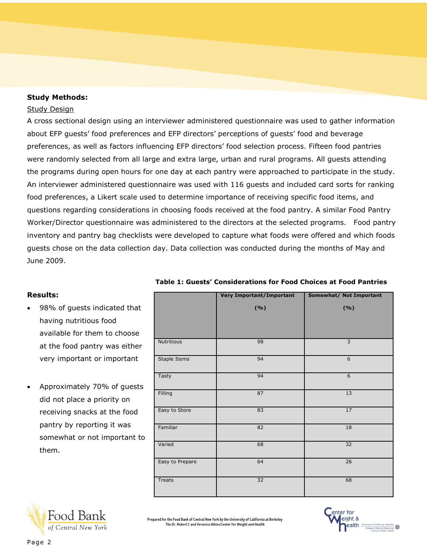#### **Study Methods:**

#### Study Design

A cross sectional design using an interviewer administered questionnaire was used to gather information about EFP guests' food preferences and EFP directors' perceptions of guests' food and beverage preferences, as well as factors influencing EFP directors' food selection process. Fifteen food pantries were randomly selected from all large and extra large, urban and rural programs. All guests attending the programs during open hours for one day at each pantry were approached to participate in the study. An interviewer administered questionnaire was used with 116 guests and included card sorts for ranking food preferences, a Likert scale used to determine importance of receiving specific food items, and questions regarding considerations in choosing foods received at the food pantry. A similar Food Pantry Worker/Director questionnaire was administered to the directors at the selected programs. Food pantry inventory and pantry bag checklists were developed to capture what foods were offered and which foods guests chose on the data collection day. Data collection was conducted during the months of May and June 2009.

## **Results:**

- 98% of guests indicated that having nutritious food available for them to choose at the food pantry was either very important or important
- Approximately 70% of guests did not place a priority on receiving snacks at the food pantry by reporting it was somewhat or not important to them.

|                 | <b>Very Important/Important</b> | <b>Somewhat/ Not Important</b> |  |
|-----------------|---------------------------------|--------------------------------|--|
|                 | ( %)                            | ( %)                           |  |
| Nutritious      | 98                              | 3                              |  |
| Staple Items    | 94                              | 6                              |  |
| Tasty           | 94                              | $6\,$                          |  |
| Filling         | 87                              | 13                             |  |
| Easy to Store   | 83                              | 17                             |  |
| Familiar        | 82                              | 18                             |  |
| Varied          | 68                              | 32                             |  |
| Easy to Prepare | 64                              | 26                             |  |
| <b>Treats</b>   | 32                              | 68                             |  |

**Table 1: Guests' Considerations for Food Choices at Food Pantries**



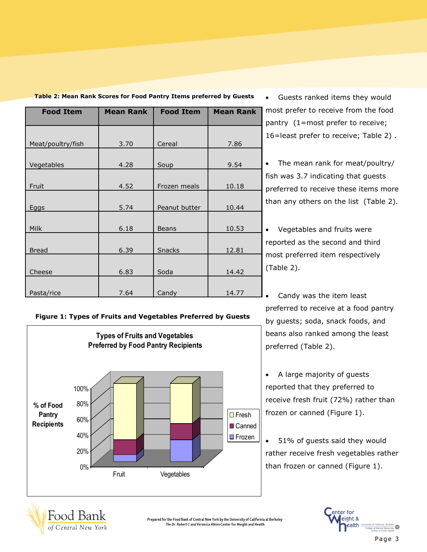| <b>Food Item</b>  | <b>Mean Rank</b> | <b>Food Item</b> | <b>Mean Rank</b> |
|-------------------|------------------|------------------|------------------|
|                   |                  |                  |                  |
|                   |                  |                  |                  |
| Meat/poultry/fish | 3.70             | Cereal           | 7.86             |
|                   |                  |                  |                  |
| Vegetables        | 4.28             | Soup             | 9.54             |
|                   |                  |                  |                  |
| Fruit             | 4.52             | Frozen meals     | 10.18            |
|                   |                  |                  |                  |
| <b>Eggs</b>       | 5.74             | Peanut butter    | 10.44            |
|                   |                  |                  |                  |
| Milk              | 6.18             | <b>Beans</b>     | 10.53            |
|                   |                  |                  |                  |
| <b>Bread</b>      | 6.39             | <b>Snacks</b>    | 12.81            |
|                   |                  |                  |                  |
| Cheese            | 6.83             | Soda             | 14.42            |
|                   |                  |                  |                  |
| Pasta/rice        | 7.64             | Candy            | 14.77            |

Table 2: Mean Rank Scores for Food Pantry Items preferred by Guests **.** Guests ranked items they would

most prefer to receive from the food pantry (1=most prefer to receive; 16=least prefer to receive; Table 2) .

 The mean rank for meat/poultry/ fish was 3.7 indicating that guests preferred to receive these items more than any others on the list (Table 2).

 Vegetables and fruits were reported as the second and third most preferred item respectively (Table 2).

 Candy was the item least preferred to receive at a food pantry by guests; soda, snack foods, and beans also ranked among the least preferred (Table 2).

 A large majority of guests reported that they preferred to receive fresh fruit (72%) rather than frozen or canned (Figure 1).

 51% of guests said they would rather receive fresh vegetables rather



# enter for eight & ealth "

Page 3

# **Figure 1: Types of Fruits and Vegetables Preferred by Guests**

**Types of Fruits and Vegetables Preferred by Food Pantry Recipients**